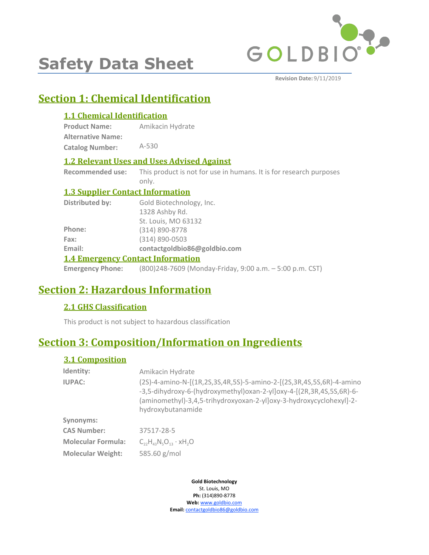

# **Safety Data Sheet**

**Revision Date:** 9/11/2019

# **Section 1: Chemical Identification**

# **1.1 Chemical Identification**

| <b>Product Name:</b>     | Amikacin Hydrate |
|--------------------------|------------------|
| <b>Alternative Name:</b> |                  |
| <b>Catalog Number:</b>   | $A-530$          |

# **1.2 Relevant Uses and Uses Advised Against**

**Recommended use:** This product is not for use in humans. It is for research purposes only.

# **1.3 Supplier Contact Information**

| Distributed by: | Gold Biotechnology, Inc.                                                         |
|-----------------|----------------------------------------------------------------------------------|
|                 | 1328 Ashby Rd.                                                                   |
|                 | St. Louis, MO 63132                                                              |
| Phone:          | (314) 890-8778                                                                   |
| Fax:            | $(314) 890 - 0503$                                                               |
| Email:          | contactgoldbio86@goldbio.com                                                     |
|                 | <b>1.4 Emergency Contact Information</b>                                         |
|                 | <b>Emergency Phone:</b> (800)248-7609 (Monday-Friday, 9:00 a.m. - 5:00 p.m. CST) |

# **Section 2: Hazardous Information**

# **2.1 GHS Classification**

This product is not subject to hazardous classification

# **Section 3: Composition/Information on Ingredients**

# **3.1 Composition**

| Identity:                 | Amikacin Hydrate                                                                                                                                                                                                                         |
|---------------------------|------------------------------------------------------------------------------------------------------------------------------------------------------------------------------------------------------------------------------------------|
| <b>IUPAC:</b>             | (2S)-4-amino-N-[(1R,2S,3S,4R,5S)-5-amino-2-[(2S,3R,4S,5S,6R)-4-amino<br>-3,5-dihydroxy-6-(hydroxymethyl)oxan-2-yl]oxy-4-[(2R,3R,4S,5S,6R)-6-<br>(aminomethyl)-3,4,5-trihydroxyoxan-2-yl]oxy-3-hydroxycyclohexyl]-2-<br>hydroxybutanamide |
| Synonyms:                 |                                                                                                                                                                                                                                          |
| <b>CAS Number:</b>        | 37517-28-5                                                                                                                                                                                                                               |
| <b>Molecular Formula:</b> | $C_{22}H_{43}N_5O_{13} \cdot xH_2O$                                                                                                                                                                                                      |
| <b>Molecular Weight:</b>  | 585.60 g/mol                                                                                                                                                                                                                             |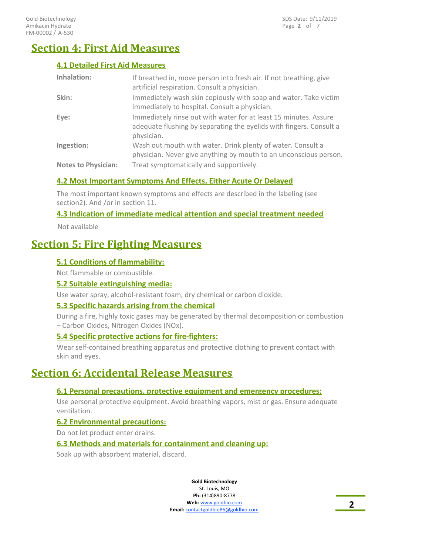# **Section 4: First Aid Measures**

### **4.1 Detailed First Aid Measures**

| <b>Inhalation:</b>         | If breathed in, move person into fresh air. If not breathing, give<br>artificial respiration. Consult a physician.                                    |
|----------------------------|-------------------------------------------------------------------------------------------------------------------------------------------------------|
| Skin:                      | Immediately wash skin copiously with soap and water. Take victim<br>immediately to hospital. Consult a physician.                                     |
| Eye:                       | Immediately rinse out with water for at least 15 minutes. Assure<br>adequate flushing by separating the eyelids with fingers. Consult a<br>physician. |
| Ingestion:                 | Wash out mouth with water. Drink plenty of water. Consult a<br>physician. Never give anything by mouth to an unconscious person.                      |
| <b>Notes to Physician:</b> | Treat symptomatically and supportively.                                                                                                               |

### **4.2 Most Important Symptoms And Effects, Either Acute Or Delayed**

The most important known symptoms and effects are described in the labeling (see section2). And /or in section 11.

### **4.3 Indication of immediate medical attention and special treatment needed**

Not available

# **Section 5: Fire Fighting Measures**

### **5.1 Conditions of flammability:**

Not flammable or combustible.

#### **5.2 Suitable extinguishing media:**

Use water spray, alcohol-resistant foam, dry chemical or carbon dioxide.

### **5.3 Specific hazards arising from the chemical**

During a fire, highly toxic gases may be generated by thermal decomposition or combustion – Carbon Oxides, Nitrogen Oxides (NOx).

#### **5.4 Specific protective actions for fire-fighters:**

Wear self-contained breathing apparatus and protective clothing to prevent contact with skin and eyes.

# **Section 6: Accidental Release Measures**

### **6.1 Personal precautions, protective equipment and emergency procedures:**

Use personal protective equipment. Avoid breathing vapors, mist or gas. Ensure adequate ventilation.

#### **6.2 Environmental precautions:**

Do not let product enter drains.

#### **6.3 Methods and materials for containment and cleaning up:**

Soak up with absorbent material, discard.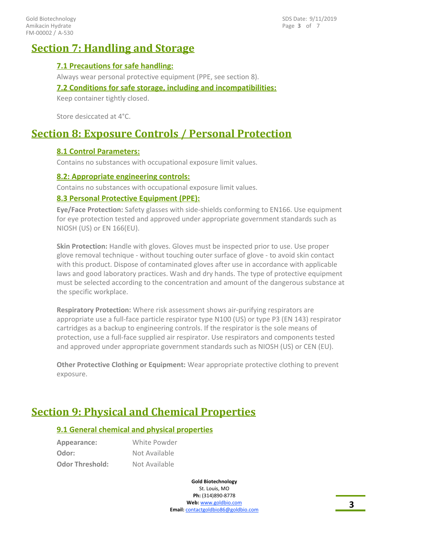Page **3** of 7 SDS Date: 9/11/2019

# **Section 7: Handling and Storage**

### **7.1 Precautions for safe handling:**

Always wear personal protective equipment (PPE, see section 8).

**7.2 Conditions for safe storage, including and incompatibilities:**

Keep container tightly closed.

Store desiccated at 4°C.

# **Section 8: Exposure Controls / Personal Protection**

### **8.1 Control Parameters:**

Contains no substances with occupational exposure limit values.

#### **8.2: Appropriate engineering controls:**

Contains no substances with occupational exposure limit values.

### **8.3 Personal Protective Equipment (PPE):**

**Eye/Face Protection:** Safety glasses with side-shields conforming to EN166. Use equipment for eye protection tested and approved under appropriate government standards such as NIOSH (US) or EN 166(EU).

**Skin Protection:** Handle with gloves. Gloves must be inspected prior to use. Use proper glove removal technique - without touching outer surface of glove - to avoid skin contact with this product. Dispose of contaminated gloves after use in accordance with applicable laws and good laboratory practices. Wash and dry hands. The type of protective equipment must be selected according to the concentration and amount of the dangerous substance at the specific workplace.

**Respiratory Protection:** Where risk assessment shows air-purifying respirators are appropriate use a full-face particle respirator type N100 (US) or type P3 (EN 143) respirator cartridges as a backup to engineering controls. If the respirator is the sole means of protection, use a full-face supplied air respirator. Use respirators and components tested and approved under appropriate government standards such as NIOSH (US) or CEN (EU).

**Other Protective Clothing or Equipment:** Wear appropriate protective clothing to prevent exposure.

# **Section 9: Physical and Chemical Properties**

### **9.1 General chemical and physical properties**

**Appearance:** White Powder **Odor:** Not Available **Odor Threshold:** Not Available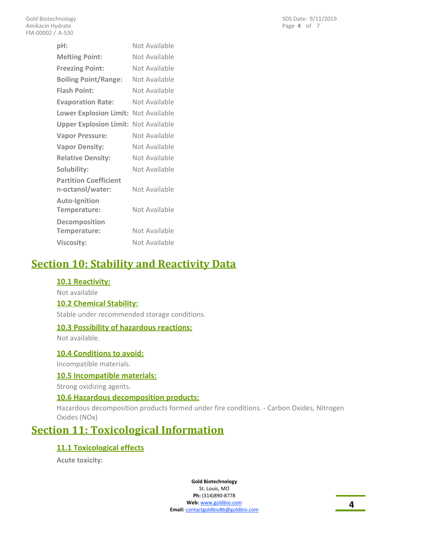| pH:                           | Not Available |
|-------------------------------|---------------|
| <b>Melting Point:</b>         | Not Available |
| <b>Freezing Point:</b>        | Not Available |
| <b>Boiling Point/Range:</b>   | Not Available |
| <b>Flash Point:</b>           | Not Available |
| <b>Evaporation Rate:</b>      | Not Available |
| <b>Lower Explosion Limit:</b> | Not Available |
| <b>Upper Explosion Limit:</b> | Not Available |
| <b>Vapor Pressure:</b>        | Not Available |
| <b>Vapor Density:</b>         | Not Available |
| <b>Relative Density:</b>      | Not Available |
| Solubility:                   | Not Available |
| <b>Partition Coefficient</b>  |               |
| n-octanol/water:              | Not Available |
| <b>Auto-Ignition</b>          |               |
| Temperature:                  | Not Available |
| Decomposition                 |               |
| Temperature:                  | Not Available |
| <b>Viscosity:</b>             | Not Available |

# **Section 10: Stability and Reactivity Data**

### **10.1 Reactivity:**

Not available

#### **10.2 Chemical Stability:**

Stable under recommended storage conditions.

#### **10.3 Possibility of hazardous reactions:**

Not available.

#### **10.4 Conditions to avoid:**

Incompatible materials.

#### **10.5 Incompatible materials:**

Strong oxidizing agents.

### **10.6 Hazardous decomposition products:**

Hazardous decomposition products formed under fire conditions. - Carbon Oxides, Nitrogen Oxides (NOx)

# **Section 11: Toxicological Information**

#### **11.1 Toxicological effects**

**Acute toxicity:**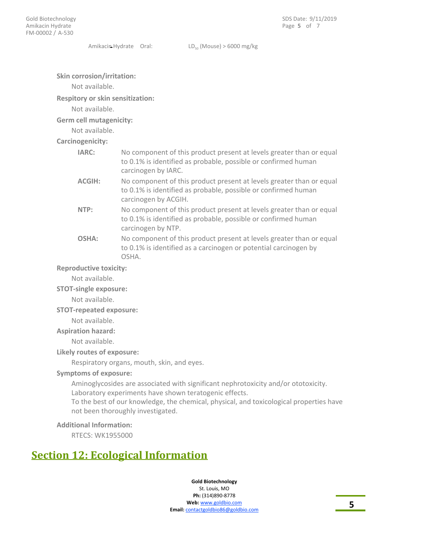Amikacin Hydrate Oral:  $LD_{50}$  (Mouse) > 6000 mg/kg

#### **Skin corrosion/irritation:**

Not available.

**Respitory or skin sensitization:**

#### Not available.

**Germ cell mutagenicity:**

Not available.

#### **Carcinogenicity:**

| IARC:         | No component of this product present at levels greater than or equal<br>to 0.1% is identified as probable, possible or confirmed human<br>carcinogen by IARC.  |
|---------------|----------------------------------------------------------------------------------------------------------------------------------------------------------------|
| <b>ACGIH:</b> | No component of this product present at levels greater than or equal<br>to 0.1% is identified as probable, possible or confirmed human<br>carcinogen by ACGIH. |
| NTP:          | No component of this product present at levels greater than or equal<br>to 0.1% is identified as probable, possible or confirmed human<br>carcinogen by NTP.   |
| OSHA:         | No component of this product present at levels greater than or equal<br>to 0.1% is identified as a carcinogen or potential carcinogen by<br>OSHA.              |

#### **Reproductive toxicity:**

Not available.

#### **STOT-single exposure:**

Not available.

#### **STOT-repeated exposure:**

Not available.

#### **Aspiration hazard:**

Not available.

#### **Likely routes of exposure:**

Respiratory organs, mouth, skin, and eyes.

#### **Symptoms of exposure:**

Aminoglycosides are associated with significant nephrotoxicity and/or ototoxicity. Laboratory experiments have shown teratogenic effects. To the best of our knowledge, the chemical, physical, and toxicological properties have not been thoroughly investigated.

#### **Additional Information:**

RTECS: WK1955000

# **Section 12: Ecological Information**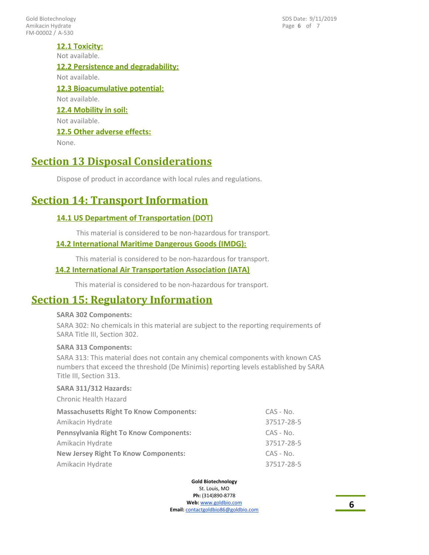FM-00002 / A-530 Gold Biotechnology Amikacin Hydrate

Page **6** of 7 SDS Date: 9/11/2019

### **12.1 Toxicity:**

Not available.

# **12.2 Persistence and degradability:**

Not available.

#### **12.3 Bioacumulative potential:** Not available.

# **12.4 Mobility in soil:**

Not available.

### **12.5 Other adverse effects:**

None.

# **Section 13 Disposal Considerations**

Dispose of product in accordance with local rules and regulations.

# **Section 14: Transport Information**

# **14.1 US Department of Transportation (DOT)**

This material is considered to be non-hazardous for transport.

### **14.2 International Maritime Dangerous Goods (IMDG):**

This material is considered to be non-hazardous for transport.

### **14.2 International Air Transportation Association (IATA)**

This material is considered to be non-hazardous for transport.

# **Section 15: Regulatory Information**

#### **SARA 302 Components:**

SARA 302: No chemicals in this material are subject to the reporting requirements of SARA Title III, Section 302.

### **SARA 313 Components:**

SARA 313: This material does not contain any chemical components with known CAS numbers that exceed the threshold (De Minimis) reporting levels established by SARA Title III, Section 313.

#### **SARA 311/312 Hazards:**

Chronic Health Hazard

| <b>Massachusetts Right To Know Components:</b> | $CAS - No.$ |
|------------------------------------------------|-------------|
| Amikacin Hydrate                               | 37517-28-5  |
| <b>Pennsylvania Right To Know Components:</b>  | $CAS - No.$ |
| Amikacin Hydrate                               | 37517-28-5  |
| <b>New Jersey Right To Know Components:</b>    | $CAS - No.$ |
| Amikacin Hydrate                               | 37517-28-5  |